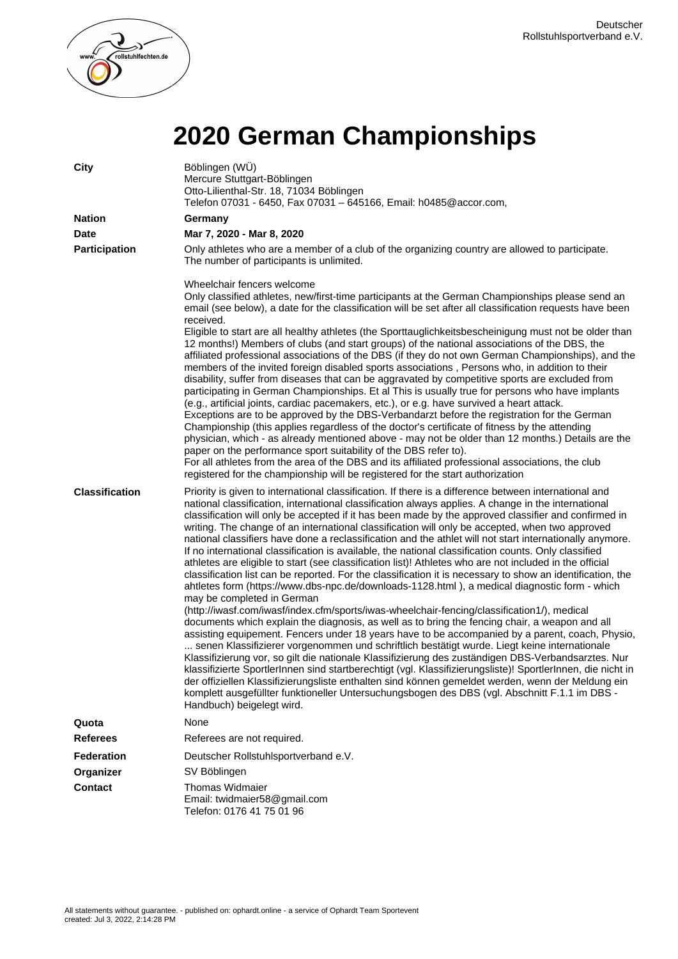

## **2020 German Championships**

| <b>City</b>           | Böblingen (WÜ)<br>Mercure Stuttgart-Böblingen<br>Otto-Lilienthal-Str. 18, 71034 Böblingen<br>Telefon 07031 - 6450, Fax 07031 - 645166, Email: h0485@accor.com,                                                                                                                                                                                                                                                                                                                                                                                                                                                                                                                                                                                                                                                                                                                                                                                                                                                                                                                                                                                                                                                                                                                                                                                                                                                                                                                                                                                                                                                                                                                                                                                                                                                                                                  |
|-----------------------|-----------------------------------------------------------------------------------------------------------------------------------------------------------------------------------------------------------------------------------------------------------------------------------------------------------------------------------------------------------------------------------------------------------------------------------------------------------------------------------------------------------------------------------------------------------------------------------------------------------------------------------------------------------------------------------------------------------------------------------------------------------------------------------------------------------------------------------------------------------------------------------------------------------------------------------------------------------------------------------------------------------------------------------------------------------------------------------------------------------------------------------------------------------------------------------------------------------------------------------------------------------------------------------------------------------------------------------------------------------------------------------------------------------------------------------------------------------------------------------------------------------------------------------------------------------------------------------------------------------------------------------------------------------------------------------------------------------------------------------------------------------------------------------------------------------------------------------------------------------------|
| <b>Nation</b>         | Germany                                                                                                                                                                                                                                                                                                                                                                                                                                                                                                                                                                                                                                                                                                                                                                                                                                                                                                                                                                                                                                                                                                                                                                                                                                                                                                                                                                                                                                                                                                                                                                                                                                                                                                                                                                                                                                                         |
| <b>Date</b>           | Mar 7, 2020 - Mar 8, 2020                                                                                                                                                                                                                                                                                                                                                                                                                                                                                                                                                                                                                                                                                                                                                                                                                                                                                                                                                                                                                                                                                                                                                                                                                                                                                                                                                                                                                                                                                                                                                                                                                                                                                                                                                                                                                                       |
| <b>Participation</b>  | Only athletes who are a member of a club of the organizing country are allowed to participate.<br>The number of participants is unlimited.                                                                                                                                                                                                                                                                                                                                                                                                                                                                                                                                                                                                                                                                                                                                                                                                                                                                                                                                                                                                                                                                                                                                                                                                                                                                                                                                                                                                                                                                                                                                                                                                                                                                                                                      |
|                       | Wheelchair fencers welcome<br>Only classified athletes, new/first-time participants at the German Championships please send an<br>email (see below), a date for the classification will be set after all classification requests have been<br>received.<br>Eligible to start are all healthy athletes (the Sporttauglichkeitsbescheinigung must not be older than<br>12 months!) Members of clubs (and start groups) of the national associations of the DBS, the<br>affiliated professional associations of the DBS (if they do not own German Championships), and the<br>members of the invited foreign disabled sports associations, Persons who, in addition to their<br>disability, suffer from diseases that can be aggravated by competitive sports are excluded from<br>participating in German Championships. Et al This is usually true for persons who have implants<br>(e.g., artificial joints, cardiac pacemakers, etc.), or e.g. have survived a heart attack.<br>Exceptions are to be approved by the DBS-Verbandarzt before the registration for the German<br>Championship (this applies regardless of the doctor's certificate of fitness by the attending<br>physician, which - as already mentioned above - may not be older than 12 months.) Details are the<br>paper on the performance sport suitability of the DBS refer to).<br>For all athletes from the area of the DBS and its affiliated professional associations, the club<br>registered for the championship will be registered for the start authorization                                                                                                                                                                                                                                                                                                                    |
| <b>Classification</b> | Priority is given to international classification. If there is a difference between international and<br>national classification, international classification always applies. A change in the international<br>classification will only be accepted if it has been made by the approved classifier and confirmed in<br>writing. The change of an international classification will only be accepted, when two approved<br>national classifiers have done a reclassification and the athlet will not start internationally anymore.<br>If no international classification is available, the national classification counts. Only classified<br>athletes are eligible to start (see classification list)! Athletes who are not included in the official<br>classification list can be reported. For the classification it is necessary to show an identification, the<br>ahtletes form (https://www.dbs-npc.de/downloads-1128.html), a medical diagnostic form - which<br>may be completed in German<br>(http://iwasf.com/iwasf/index.cfm/sports/iwas-wheelchair-fencing/classification1/), medical<br>documents which explain the diagnosis, as well as to bring the fencing chair, a weapon and all<br>assisting equipement. Fencers under 18 years have to be accompanied by a parent, coach, Physio,<br>senen Klassifizierer vorgenommen und schriftlich bestätigt wurde. Liegt keine internationale<br>Klassifizierung vor, so gilt die nationale Klassifizierung des zuständigen DBS-Verbandsarztes. Nur<br>klassifizierte SportlerInnen sind startberechtigt (vgl. Klassifizierungsliste)! SportlerInnen, die nicht in<br>der offiziellen Klassifizierungsliste enthalten sind können gemeldet werden, wenn der Meldung ein<br>komplett ausgefüllter funktioneller Untersuchungsbogen des DBS (vgl. Abschnitt F.1.1 im DBS -<br>Handbuch) beigelegt wird. |
| Quota                 | None                                                                                                                                                                                                                                                                                                                                                                                                                                                                                                                                                                                                                                                                                                                                                                                                                                                                                                                                                                                                                                                                                                                                                                                                                                                                                                                                                                                                                                                                                                                                                                                                                                                                                                                                                                                                                                                            |
| <b>Referees</b>       | Referees are not required.                                                                                                                                                                                                                                                                                                                                                                                                                                                                                                                                                                                                                                                                                                                                                                                                                                                                                                                                                                                                                                                                                                                                                                                                                                                                                                                                                                                                                                                                                                                                                                                                                                                                                                                                                                                                                                      |
| <b>Federation</b>     | Deutscher Rollstuhlsportverband e.V.                                                                                                                                                                                                                                                                                                                                                                                                                                                                                                                                                                                                                                                                                                                                                                                                                                                                                                                                                                                                                                                                                                                                                                                                                                                                                                                                                                                                                                                                                                                                                                                                                                                                                                                                                                                                                            |
| Organizer             | SV Böblingen                                                                                                                                                                                                                                                                                                                                                                                                                                                                                                                                                                                                                                                                                                                                                                                                                                                                                                                                                                                                                                                                                                                                                                                                                                                                                                                                                                                                                                                                                                                                                                                                                                                                                                                                                                                                                                                    |
| <b>Contact</b>        | <b>Thomas Widmaier</b><br>Email: twidmaier58@gmail.com<br>Telefon: 0176 41 75 01 96                                                                                                                                                                                                                                                                                                                                                                                                                                                                                                                                                                                                                                                                                                                                                                                                                                                                                                                                                                                                                                                                                                                                                                                                                                                                                                                                                                                                                                                                                                                                                                                                                                                                                                                                                                             |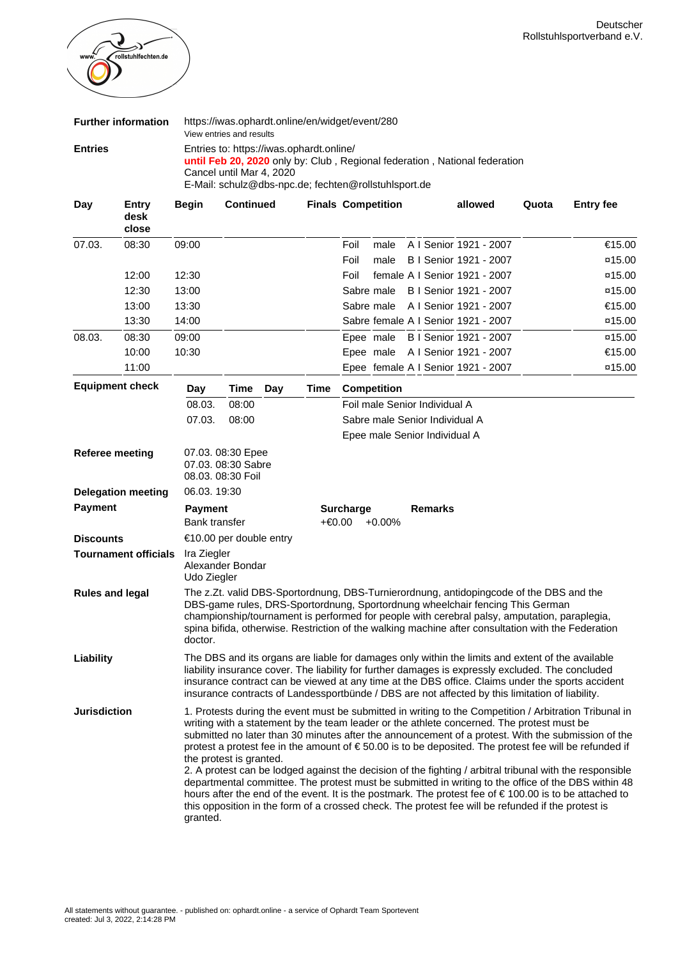

|                           | <b>Further information</b>    |                                                                                                                                                                                                                                                                                                                                                                                                                                                                                                                                                                                                                                                                                                                                                                                                                                                                                               | View entries and results                                                                                                                                                                                                                                                                                                                                                                                     |                                          |      | https://iwas.ophardt.online/en/widget/event/280      |      |                |  |                                                                            |       |                     |
|---------------------------|-------------------------------|-----------------------------------------------------------------------------------------------------------------------------------------------------------------------------------------------------------------------------------------------------------------------------------------------------------------------------------------------------------------------------------------------------------------------------------------------------------------------------------------------------------------------------------------------------------------------------------------------------------------------------------------------------------------------------------------------------------------------------------------------------------------------------------------------------------------------------------------------------------------------------------------------|--------------------------------------------------------------------------------------------------------------------------------------------------------------------------------------------------------------------------------------------------------------------------------------------------------------------------------------------------------------------------------------------------------------|------------------------------------------|------|------------------------------------------------------|------|----------------|--|----------------------------------------------------------------------------|-------|---------------------|
| <b>Entries</b>            |                               |                                                                                                                                                                                                                                                                                                                                                                                                                                                                                                                                                                                                                                                                                                                                                                                                                                                                                               | Cancel until Mar 4, 2020                                                                                                                                                                                                                                                                                                                                                                                     | Entries to: https://iwas.ophardt.online/ |      | E-Mail: schulz@dbs-npc.de; fechten@rollstuhlsport.de |      |                |  | until Feb 20, 2020 only by: Club, Regional federation, National federation |       |                     |
| Day                       | <b>Entry</b><br>desk<br>close | <b>Begin</b>                                                                                                                                                                                                                                                                                                                                                                                                                                                                                                                                                                                                                                                                                                                                                                                                                                                                                  | <b>Continued</b>                                                                                                                                                                                                                                                                                                                                                                                             |                                          |      | <b>Finals Competition</b>                            |      |                |  | allowed                                                                    | Quota | <b>Entry fee</b>    |
| 07.03.                    | 08:30                         | 09:00                                                                                                                                                                                                                                                                                                                                                                                                                                                                                                                                                                                                                                                                                                                                                                                                                                                                                         |                                                                                                                                                                                                                                                                                                                                                                                                              |                                          |      | Foil                                                 | male |                |  | A I Senior 1921 - 2007                                                     |       | €15.00              |
|                           |                               |                                                                                                                                                                                                                                                                                                                                                                                                                                                                                                                                                                                                                                                                                                                                                                                                                                                                                               |                                                                                                                                                                                                                                                                                                                                                                                                              |                                          |      | Foil                                                 | male |                |  | B I Senior 1921 - 2007                                                     |       | $\texttt{x15.00}$   |
|                           | 12:00                         | 12:30                                                                                                                                                                                                                                                                                                                                                                                                                                                                                                                                                                                                                                                                                                                                                                                                                                                                                         |                                                                                                                                                                                                                                                                                                                                                                                                              |                                          |      | Foil                                                 |      |                |  | female A I Senior 1921 - 2007                                              |       | $\frac{\pi}{15.00}$ |
|                           | 12:30                         | 13:00                                                                                                                                                                                                                                                                                                                                                                                                                                                                                                                                                                                                                                                                                                                                                                                                                                                                                         |                                                                                                                                                                                                                                                                                                                                                                                                              |                                          |      | Sabre male                                           |      |                |  | B   Senior 1921 - 2007                                                     |       | $\frac{\pi}{15.00}$ |
|                           | 13:00                         | 13:30                                                                                                                                                                                                                                                                                                                                                                                                                                                                                                                                                                                                                                                                                                                                                                                                                                                                                         |                                                                                                                                                                                                                                                                                                                                                                                                              |                                          |      | Sabre male                                           |      |                |  | A I Senior 1921 - 2007                                                     |       | €15.00              |
|                           | 13:30                         | 14:00                                                                                                                                                                                                                                                                                                                                                                                                                                                                                                                                                                                                                                                                                                                                                                                                                                                                                         |                                                                                                                                                                                                                                                                                                                                                                                                              |                                          |      |                                                      |      |                |  | Sabre female A I Senior 1921 - 2007                                        |       | $\frac{\pi}{15.00}$ |
| 08.03.                    | 08:30                         | 09:00                                                                                                                                                                                                                                                                                                                                                                                                                                                                                                                                                                                                                                                                                                                                                                                                                                                                                         |                                                                                                                                                                                                                                                                                                                                                                                                              |                                          |      | Epee male                                            |      |                |  | B I Senior 1921 - 2007                                                     |       | $\texttt{x}$ 15.00  |
|                           | 10:00                         | 10:30                                                                                                                                                                                                                                                                                                                                                                                                                                                                                                                                                                                                                                                                                                                                                                                                                                                                                         |                                                                                                                                                                                                                                                                                                                                                                                                              |                                          |      |                                                      |      |                |  | Epee male A I Senior 1921 - 2007                                           |       | €15.00              |
|                           | 11:00                         |                                                                                                                                                                                                                                                                                                                                                                                                                                                                                                                                                                                                                                                                                                                                                                                                                                                                                               |                                                                                                                                                                                                                                                                                                                                                                                                              |                                          |      |                                                      |      |                |  | Epee female A I Senior 1921 - 2007                                         |       | $\texttt{x15.00}$   |
|                           | <b>Equipment check</b>        | Day                                                                                                                                                                                                                                                                                                                                                                                                                                                                                                                                                                                                                                                                                                                                                                                                                                                                                           | <b>Time</b>                                                                                                                                                                                                                                                                                                                                                                                                  | Day                                      | Time | <b>Competition</b>                                   |      |                |  |                                                                            |       |                     |
|                           |                               | 08.03.                                                                                                                                                                                                                                                                                                                                                                                                                                                                                                                                                                                                                                                                                                                                                                                                                                                                                        | 08:00                                                                                                                                                                                                                                                                                                                                                                                                        |                                          |      | Foil male Senior Individual A                        |      |                |  |                                                                            |       |                     |
|                           |                               | 07.03.                                                                                                                                                                                                                                                                                                                                                                                                                                                                                                                                                                                                                                                                                                                                                                                                                                                                                        | 08:00                                                                                                                                                                                                                                                                                                                                                                                                        |                                          |      | Sabre male Senior Individual A                       |      |                |  |                                                                            |       |                     |
|                           |                               |                                                                                                                                                                                                                                                                                                                                                                                                                                                                                                                                                                                                                                                                                                                                                                                                                                                                                               |                                                                                                                                                                                                                                                                                                                                                                                                              |                                          |      | Epee male Senior Individual A                        |      |                |  |                                                                            |       |                     |
| <b>Referee meeting</b>    |                               |                                                                                                                                                                                                                                                                                                                                                                                                                                                                                                                                                                                                                                                                                                                                                                                                                                                                                               | 07.03. 08:30 Epee<br>07.03. 08:30 Sabre<br>08.03. 08:30 Foil                                                                                                                                                                                                                                                                                                                                                 |                                          |      |                                                      |      |                |  |                                                                            |       |                     |
| <b>Delegation meeting</b> |                               | 06.03.19:30                                                                                                                                                                                                                                                                                                                                                                                                                                                                                                                                                                                                                                                                                                                                                                                                                                                                                   |                                                                                                                                                                                                                                                                                                                                                                                                              |                                          |      |                                                      |      |                |  |                                                                            |       |                     |
| <b>Payment</b>            |                               | <b>Payment</b>                                                                                                                                                                                                                                                                                                                                                                                                                                                                                                                                                                                                                                                                                                                                                                                                                                                                                |                                                                                                                                                                                                                                                                                                                                                                                                              |                                          |      | <b>Surcharge</b>                                     |      | <b>Remarks</b> |  |                                                                            |       |                     |
|                           |                               | Bank transfer                                                                                                                                                                                                                                                                                                                                                                                                                                                                                                                                                                                                                                                                                                                                                                                                                                                                                 |                                                                                                                                                                                                                                                                                                                                                                                                              |                                          |      | +€0.00 +0.00%                                        |      |                |  |                                                                            |       |                     |
| <b>Discounts</b>          |                               |                                                                                                                                                                                                                                                                                                                                                                                                                                                                                                                                                                                                                                                                                                                                                                                                                                                                                               | €10.00 per double entry                                                                                                                                                                                                                                                                                                                                                                                      |                                          |      |                                                      |      |                |  |                                                                            |       |                     |
|                           | <b>Tournament officials</b>   | Ira Ziegler<br>Udo Ziegler                                                                                                                                                                                                                                                                                                                                                                                                                                                                                                                                                                                                                                                                                                                                                                                                                                                                    | Alexander Bondar                                                                                                                                                                                                                                                                                                                                                                                             |                                          |      |                                                      |      |                |  |                                                                            |       |                     |
| <b>Rules and legal</b>    |                               | doctor.                                                                                                                                                                                                                                                                                                                                                                                                                                                                                                                                                                                                                                                                                                                                                                                                                                                                                       | The z.Zt. valid DBS-Sportordnung, DBS-Turnierordnung, antidopingcode of the DBS and the<br>DBS-game rules, DRS-Sportordnung, Sportordnung wheelchair fencing This German<br>championship/tournament is performed for people with cerebral palsy, amputation, paraplegia,<br>spina bifida, otherwise. Restriction of the walking machine after consultation with the Federation                               |                                          |      |                                                      |      |                |  |                                                                            |       |                     |
| Liability                 |                               |                                                                                                                                                                                                                                                                                                                                                                                                                                                                                                                                                                                                                                                                                                                                                                                                                                                                                               | The DBS and its organs are liable for damages only within the limits and extent of the available<br>liability insurance cover. The liability for further damages is expressly excluded. The concluded<br>insurance contract can be viewed at any time at the DBS office. Claims under the sports accident<br>insurance contracts of Landessportbünde / DBS are not affected by this limitation of liability. |                                          |      |                                                      |      |                |  |                                                                            |       |                     |
| <b>Jurisdiction</b>       |                               | 1. Protests during the event must be submitted in writing to the Competition / Arbitration Tribunal in<br>writing with a statement by the team leader or the athlete concerned. The protest must be<br>submitted no later than 30 minutes after the announcement of a protest. With the submission of the<br>protest a protest fee in the amount of € 50.00 is to be deposited. The protest fee will be refunded if<br>the protest is granted.<br>2. A protest can be lodged against the decision of the fighting / arbitral tribunal with the responsible<br>departmental committee. The protest must be submitted in writing to the office of the DBS within 48<br>hours after the end of the event. It is the postmark. The protest fee of € 100.00 is to be attached to<br>this opposition in the form of a crossed check. The protest fee will be refunded if the protest is<br>granted. |                                                                                                                                                                                                                                                                                                                                                                                                              |                                          |      |                                                      |      |                |  |                                                                            |       |                     |